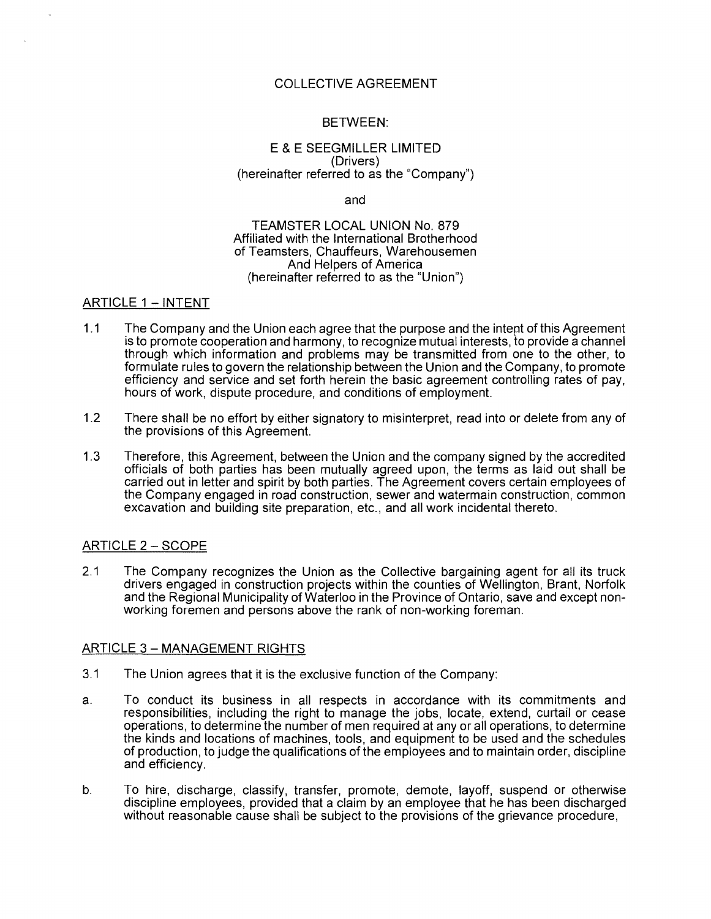# COLLECTIVE AGREEMENT

# BETWEEN:

### E & E SEEGMILLER LIMITED (Drivers) (hereinafter referred to as the "Company")

and

#### TEAMSTER LOCAL UNION No. 879 Affiliated with the International Brotherhood of Teamsters, Chauffeurs, Warehousemen And Helpers of America (hereinafter referred to as the "Union")

# ARTICLE 1 - INTENT

- 1.1 The Company and the Union each agree that the purpose and the intept of this Agreement is to promote cooperation and harmony, to recognize mutual interests, to provide a channel through which information and problems may be transmitted from one to the other, to formulate rules to govern the relationship between the Union and the Company, to promote efficiency and service and set forth herein the basic agreement controlling rates of pay, hours of work, dispute procedure, and conditions of employment.
- 1.2 There shall be no effort by either signatory to misinterpret, read into or delete from any of the provisions of this Agreement.
- 1.3 Therefore, this Agreement, between the Union and the company signed by the accredited officials of both parties has been mutually agreed upon, the terms as laid out shall be carried out in letter and spirit by both parties. The Agreement covers certain employees of the Company engaged in road construction, sewer and watermain construction, common excavation and building site preparation, etc., and all work incidental thereto.

## ARTICLE 2 - SCOPE

2.1 The Company recognizes the Union as the Collective bargaining agent for all its truck drivers engaged in construction projects within the counties of Wellington, Brant, Norfolk and the Regional Municipality of Waterloo in the Province of Ontario, save and except nonworking foremen and persons above the rank of non-working foreman.

#### ARTICLE 3 - MANAGEMENT RIGHTS

- 3.1 The Union agrees that it is the exclusive function of the Company:
- a. To conduct its business in all respects in accordance with its commitments and responsibilities, including the right to manage the jobs, locate, extend, curtail or cease operations, to determine the number of men required at any or all operations, to determine the kinds and locations of machines, tools, and equipment to be used and the schedules of production, to judge the qualifications of the employees and to maintain order, discipline and efficiency.
- b. To hire, discharge, classify, transfer, promote, demote, layoff, suspend or otherwise discipline employees, provided that a claim by an employee that he has been discharged without reasonable cause shall be subject to the provisions of the grievance procedure,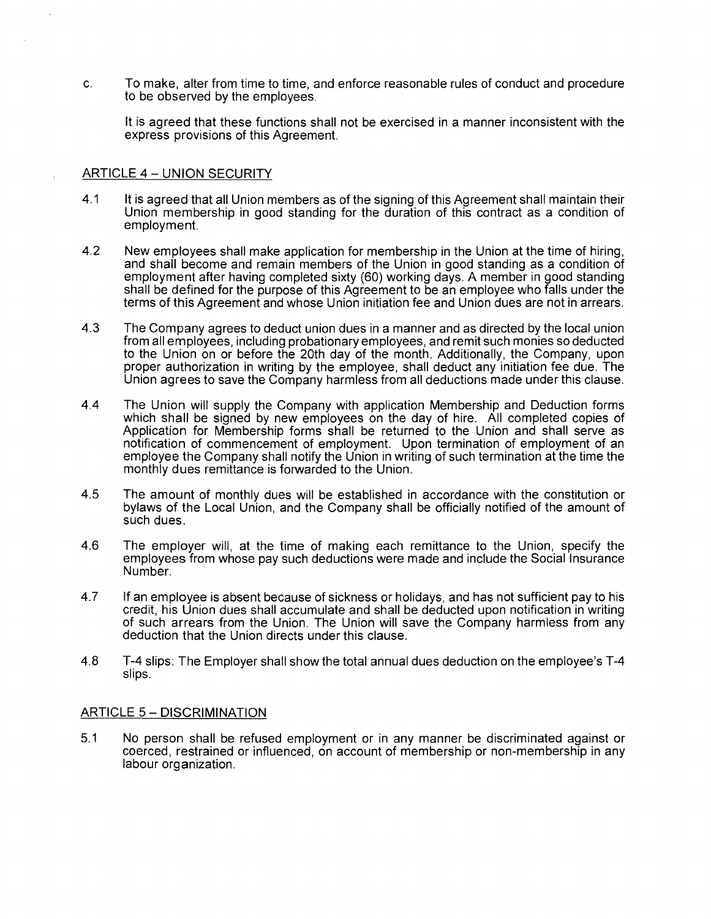c. To make, alter from time to time, and enforce reasonable rules of conduct and procedure to be observed by the employees.

It is agreed that these functions shall not be exercised in a manner inconsistent with the express provisions of this Agreement.

### ARTICLE 4 - **UNION** SECURITY

- 4.1 It is agreed that all Union members as of the signing of this Agreement shall maintain their Union membership in good standing for the duration of this contract as a condition of employment.
- 4.2 New employees shall make application for membership in the Union at the time of hiring, and shall become and remain members of the Union in good standing as a condition of employment after having completed sixty (60) working days. A member in good standing shall be defined for the purpose of this Agreement to be an employee who falls under the terms of this Agreement and whose Union initiation fee and Union dues are not in arrears.
- 4.3 The Company agrees to deduct union dues in a manner and as directed by the local union from all employees, including probationary employees, and remit such monies so deducted to the Union on or before the 20th day of the month. Additionally, the Company, upon proper authorization in writing by the employee, shall deduct any initiation fee due. The Union agrees to save the Company harmless from all deductions made under this clause.
- 4.4 The Union will supply the Company with application Membership and Deduction forms which shall be signed by new employees on the day of hire. All completed copies of Application for Membership forms shall be returned to the Union and shall serve as notification of commencement of employment. Upon termination of employment of an employee the Company shall notify the Union in writing of such termination at the time the monthly dues remittance is forwarded to the Union.
- 4.5 The amount of monthly dues will be established in accordance with the constitution or bylaws of the Local Union, and the Company shall be officially notified of the amount of such dues.
- 4.6 The employer will, at the time of making each remittance to the Union, specify the employees from whose pay such deductions were made and include the Social Insurance Number.
- 4.7 If an employee is absent because of sickness or holidays, and has not sufficient pay to his credit, his Union dues shall accumulate and shall be deducted upon notification in writing of such arrears from the Union. The Union will save the Company harmless from any deduction that the Union directs under this clause.
- 4.8 T-4 slips: The Employer shall show the total annual dues deduction on the employee's T-4 slips.

## ARTICLE 5- **DISCRIMINATION**

5.1 No person shall be refused employment or in any manner be discriminated against or coerced, restrained or influenced, on account of membership or non-membership in any labour organization.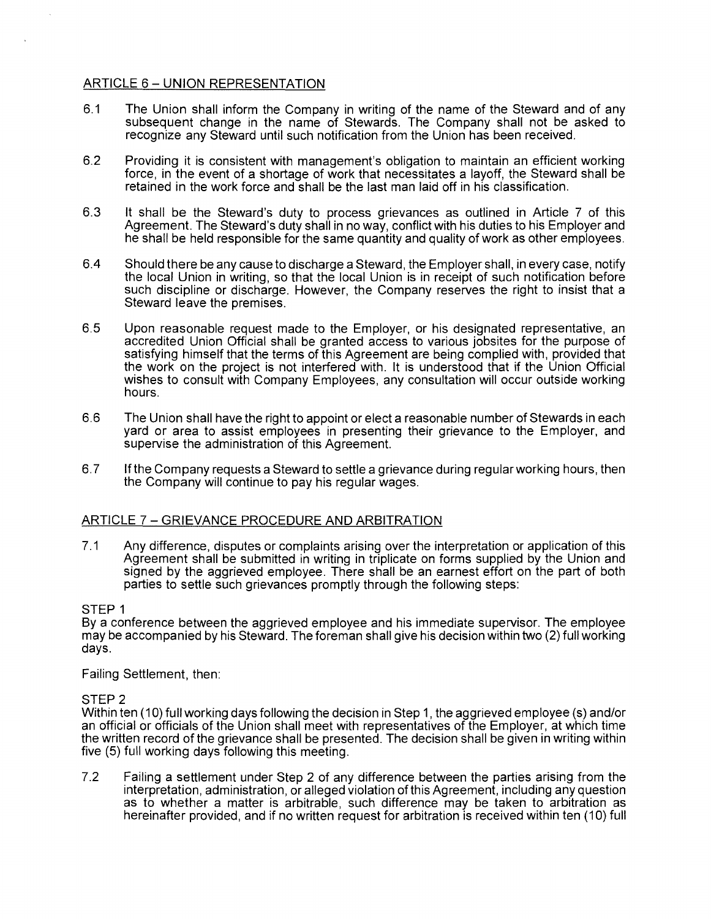# ARTICLE 6- **UNION** REPRESENTATION

- 6.1 The Union shall inform the Company in writing of the name of the Steward and of any subsequent change in the name of Stewards. The Company shall not be asked to recognize any Steward until such notification from the Union has been received.
- 6.2 Providing it is consistent with management's obligation to maintain an efficient working force, in the event of a shortage of work that necessitates a layoff, the Steward shall be retained in the work force and shall be the last man laid off in his classification.
- 6.3 It shall be the Steward's duty to process grievances as outlined in Article 7 of this Agreement. The Steward's duty shall in no way, conflict with his duties to his Employer and he shall be held responsible for the same quantity and quality of work as other employees.
- 6.4 Should there be any cause to discharge a Steward, the Employer shall, in every case, notify the local Union in writing, so that the local Union is in receipt of such notification before such discipline or discharge. However, the Company reserves the right to insist that a Steward leave the premises.
- 6.5 Upon reasonable request made to the Employer, or his designated representative, an accredited Union Official shall be granted access to various jobsites for the purpose of satisfying himself that the terms of this Agreement are being complied with, provided that the work on the project is not interfered with. It is understood that if the Union Official wishes to consult with Company Employees, any consultation will occur outside working hours.
- 6.6 The Union shall have the right to appoint or elect a reasonable number of Stewards in each yard or area to assist employees in presenting their grievance to the Employer, and supervise the administration of this Agreement.
- 6.7 If the Company requests a Steward to settle a grievance during regular working hours, then the Company will continue to pay his regular wages.

## ARTICLE 7 - GRIEVANCE PROCEDURE AND ARBITRATION

7.1 Any difference, disputes or complaints arising over the interpretation or application of this Agreement shall be submitted in writing in triplicate on forms supplied by the Union and signed by the aggrieved employee. There shall be an earnest effort on the part of both parties to settle such grievances promptly through the following steps:

#### STEP 1

By a conference between the aggrieved employee and his immediate supervisor. The employee may be accompanied by his Steward. The foreman shall give his decision within two (2) full working days.

Failing Settlement, then:

## STEP 2

Within ten ( 10) full working days following the decision in Step 1, the aggrieved employee (s) and/or an official or officials of the Union shall meet with representatives of the Employer, at which time the written record of the grievance shall be presented. The decision shall be given in writing within five (5) full working days following this meeting.

7.2 Failing a settlement under Step 2 of any difference between the parties arising from the interpretation, administration, or alleged violation of this Agreement, including any question as to whether a matter is arbitrable, such difference may be taken to arbitration as hereinafter provided, and if no written request for arbitration is received within ten (10) full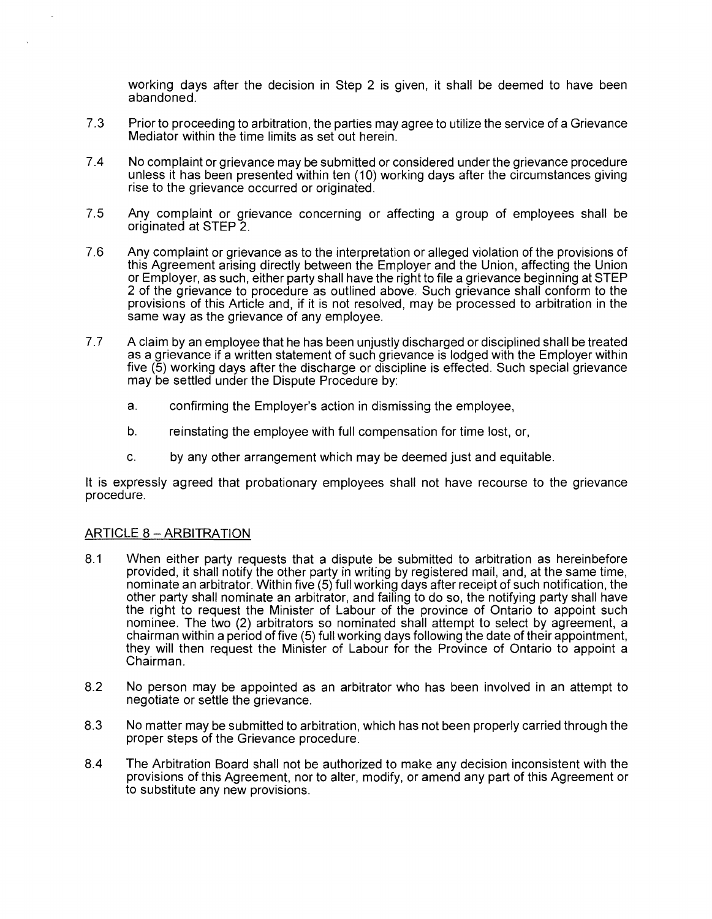working days after the decision in Step 2 is given, it shall be deemed to have been abandoned.

- 7 .3 Prior to proceeding to arbitration, the parties may agree to utilize the service of a Grievance Mediator within the time limits as set out herein.
- 7.4 No complaint or grievance may be submitted or considered under the grievance procedure unless it has been presented within ten (10) working days after the circumstances giving rise to the grievance occurred or originated.
- 7.5 Any complaint or grievance concerning or affecting a group of employees shall be originated at STEP 2.
- 7.6 Any complaint or grievance as to the interpretation or alleged violation of the provisions of this Agreement arising directly between the Employer and the Union, affecting the Union or Employer, as such, either party shall have the right to file a grievance beginning at STEP 2 of the grievance to procedure as outlined above. Such grievance shall conform to the provisions of this Article and, if it is not resolved, may be processed to arbitration in the same way as the grievance of any employee.
- 7. 7 A claim by an employee that he has been unjustly discharged or disciplined shall be treated as a grievance if a written statement of such grievance is lodged with the Employer within five (5) working days after the discharge or discipline is effected. Such special grievance may be settled under the Dispute Procedure by:
	- a. confirming the Employer's action in dismissing the employee,
	- b. reinstating the employee with full compensation for time lost, or,
	- c. by any other arrangement which may be deemed just and equitable.

It is expressly agreed that probationary employees shall not have recourse to the grievance procedure.

## ARTICLE 8 - ARBITRATION

- 8.1 When either party requests that a dispute be submitted to arbitration as hereinbefore provided, it shall notify the other party in writing by registered mail, and, at the same time, nominate an arbitrator. Within five (5) full working days after receipt of such notification, the other party shall nominate an arbitrator, and failing to do so, the notifying party shall have the right to request the Minister of Labour of the province of Ontario to appoint such nominee. The two (2) arbitrators so nominated shall attempt to select by agreement, a chairman within a period of five (5) full working days following the date of their appointment, they will then request the Minister of Labour for the Province of Ontario to appoint a Chairman.
- 8.2 No person may be appointed as an arbitrator who has been involved in an attempt to negotiate or settle the grievance.
- 8.3 No matter may be submitted to arbitration, which has not been properly carried through the proper steps of the Grievance procedure.
- 8.4 The Arbitration Board shall not be authorized to make any decision inconsistent with the provisions of this Agreement, nor to alter, modify, or amend any part of this Agreement or to substitute any new provisions.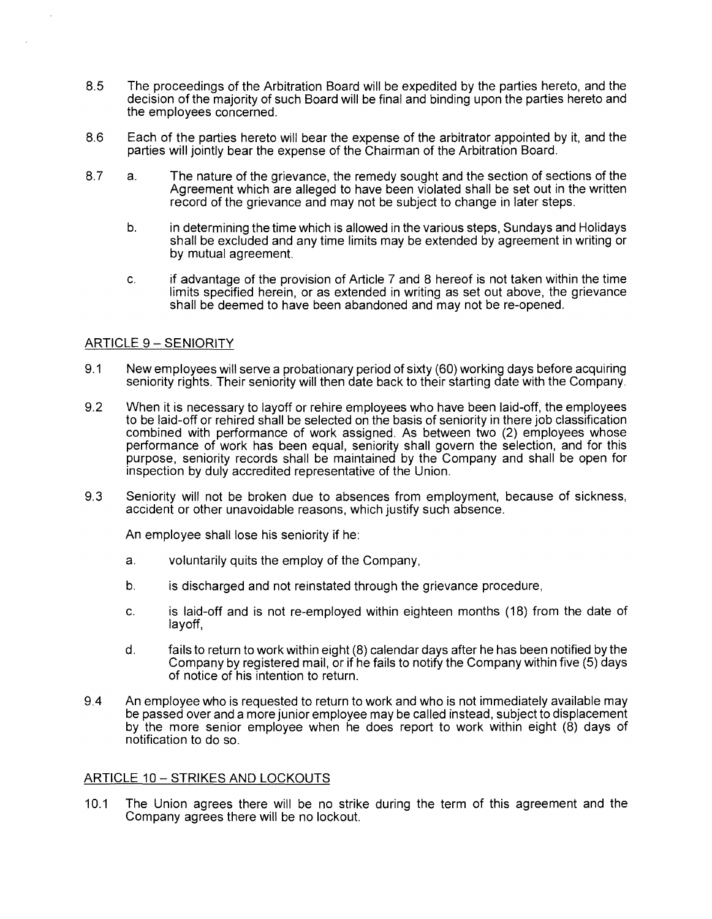- 8.5 The proceedings of the Arbitration Board will be expedited by the parties hereto, and the decision of the majority of such Board will be final and binding upon the parties hereto and the employees concerned.
- 8.6 Each of the parties hereto will bear the expense of the arbitrator appointed by it, and the parties will jointly bear the expense of the Chairman of the Arbitration Board.
- 8.7 a. The nature of the grievance, the remedy sought and the section of sections of the Agreement which are alleged to have been violated shall be set out in the written record of the grievance and may not be subject to change in later steps.
	- b. in determining the time which is allowed in the various steps, Sundays and Holidays shall be excluded and any time limits may be extended by agreement in writing or by mutual agreement.
	- c. if advantage of the provision of Article 7 and 8 hereof is not taken within the time limits specified herein, or as extended in writing as set out above, the grievance shall be deemed to have been abandoned and may not be re-opened.

## ARTICLE 9 - SENIORITY

- 9.1 New employees will serve a probationary period of sixty (60) working days before acquiring seniority rights. Their seniority will then date back to their starting date with the Company.
- 9.2 When it is necessary to layoff or rehire employees who have been laid-off, the employees to be laid-off or rehired shall be selected on the basis of seniority in there job classification combined with performance of work assigned. As between two (2) employees whose performance of work has been equal, seniority shall govern the selection, and for this purpose, seniority records shall be maintained by the Company and shall be open for inspection by duly accredited representative of the Union.
- 9.3 Seniority will not be broken due to absences from employment, because of sickness, accident or other unavoidable reasons, which justify such absence.

An employee shall lose his seniority if he:

- a. voluntarily quits the employ of the Company,
- b. is discharged and not reinstated through the grievance procedure,
- c. is laid-off and is not re-employed within eighteen months (18) from the date of layoff,
- d. fails to return to work within eight (8) calendar days after he has been notified by the Company by registered mail, or if he fails to notify the Company within five (5) days of notice of his intention to return.
- 9.4 An employee who is requested to return to work and who is not immediately available may be passed over and a more junior employee may be called instead, subject to displacement by the more senior employee when he does report to work within eight (8) days of notification to do so.

## ARTICLE 10 - STRIKES AND LOCKOUTS

10.1 The Union agrees there will be no strike during the term of this agreement and the Company agrees there will be no lockout.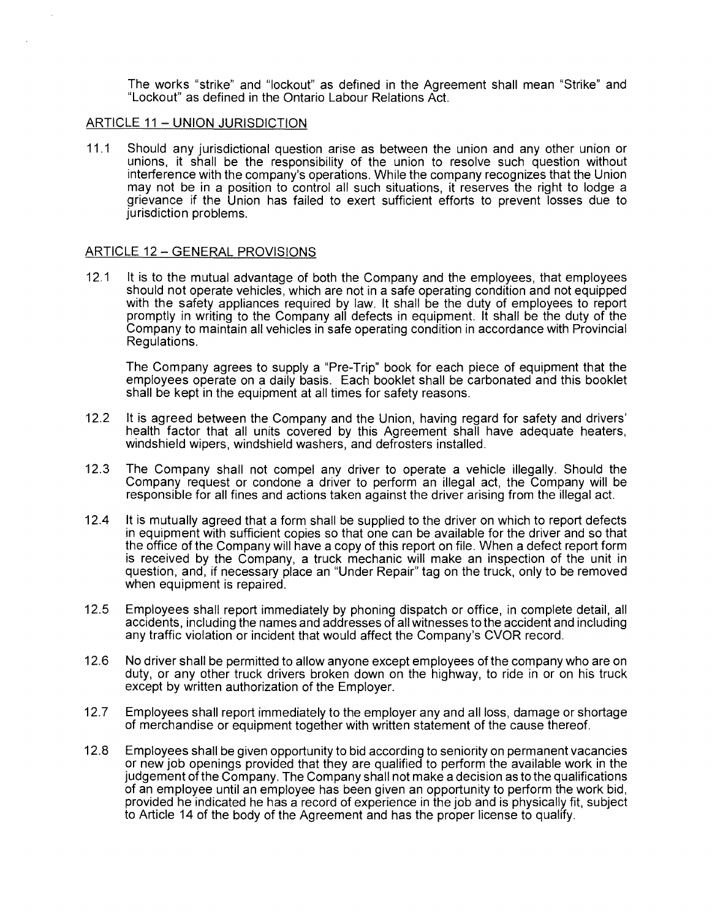The works "strike" and "lockout" as defined in the Agreement shall mean "Strike" and "Lockout" as defined in the Ontario Labour Relations Act.

### ARTICLE 11 - UNION JURISDICTION

11.1 Should any jurisdictional question arise as between the union and any other union or unions, it shall be the responsibility of the union to resolve such question without interference with the company's operations. While the company recognizes that the Union may not be in a position to control all such situations, it reserves the right to lodge a grievance if the Union has failed to exert sufficient efforts to prevent losses due to jurisdiction problems.

### ARTICLE 12 - GENERAL PROVISIONS

12.1 It is to the mutual advantage of both the Company and the employees, that employees should not operate vehicles, which are not in a safe operating condition and not equipped with the safety appliances required by law. It shall be the duty of employees to report promptly in writing to the Company all defects in equipment. It shall be the duty of the Company to maintain all vehicles in safe operating condition in accordance with Provincial Regulations.

The Company agrees to supply a "Pre-Trip" book for each piece of equipment that the employees operate on a daily basis. Each booklet shall be carbonated and this booklet shall be kept in the equipment at all times for safety reasons.

- 12.2 It is agreed between the Company and the Union, having regard for safety and drivers' health factor that all units covered by this Agreement shall have adequate heaters, windshield wipers, windshield washers, and defrosters installed.
- 12.3 The Company shall not compel any driver to operate a vehicle illegally. Should the Company request or condone a driver to perform an illegal act, the Company will be responsible for all fines and actions taken against the driver arising from the illegal act.
- 12.4 It is mutually agreed that a form shall be supplied to the driver on which to report defects in equipment with sufficient copies so that one can be available for the driver and so that the office of the Company will have a copy of this report on file. When a defect report form is received by the Company, a truck mechanic will make an inspection of the unit in question, and, if necessary place an "Under Repair" tag on the truck, only to be removed when equipment is repaired.
- 12.5 Employees shall report immediately by phoning dispatch or office, in complete detail, all accidents, including the names and addresses of all witnesses to the accident and including any traffic violation or incident that would affect the Company's CVOR record.
- 12.6 No driver shall be permitted to allow anyone except employees of the company who are on duty, or any other truck drivers broken down on the highway, to ride in or on his truck except by written authorization of the Employer.
- 12.7 Employees shall report immediately to the employer any and all loss, damage or shortage of merchandise or equipment together with written statement of the cause thereof.
- 12.8 Employees shall be given opportunity to bid according to seniority on permanent vacancies or new job openings provided that they are qualified to perform the available work in the judgement of the Company. The Company shall not make a decision as to the qualifications of an employee until an employee has been given an opportunity to perform the work bid, provided he indicated he has a record of experience in the job and is physically fit, subject to Article 14 of the body of the Agreement and has the proper license to qualify.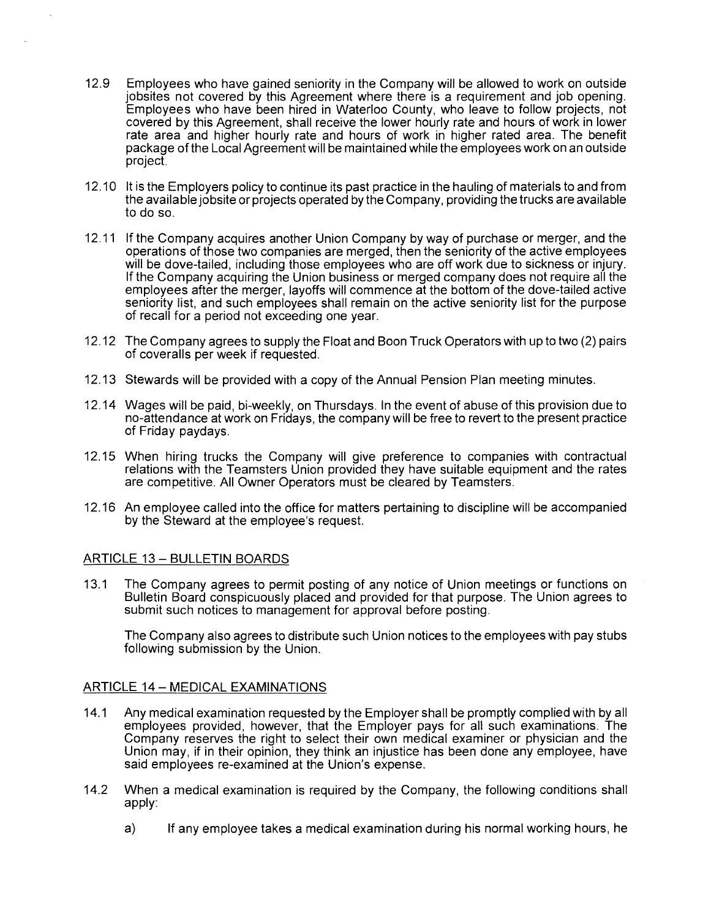- 12.9 Employees who have gained seniority in the Company will be allowed to work on outside jobsites not covered by this Agreement where there is a requirement and job opening. Employees who have been hired in Waterloo County, who leave to follow projects, not covered by this Agreement, shall receive the lower hourly rate and hours of work in lower rate area and higher hourly rate and hours of work in higher rated area. The benefit package of the Local Agreement will be maintained while the employees work on an outside project.
- 12.10 It is the Employers policy to continue its past practice in the hauling of materials to and from the available jobsite or projects operated by the Company, providing the trucks are available to do so.
- 12.11 If the Company acquires another Union Company by way of purchase or merger, and the operations of those two companies are merged, then the seniority of the active employees will be dove-tailed, including those employees who are off work due to sickness or injury. If the Company acquiring the Union business or merged company does not require all the employees after the merger, layoffs will commence at the bottom of the dove-tailed active seniority list, and such employees shall remain on the active seniority list for the purpose of recall for a period not exceeding one year.
- 12.12 The Company agrees to supply the Float and Boon Truck Operators with up to two (2) pairs of coveralls per week if requested.
- 12.13 Stewards will be provided with a copy of the Annual Pension Plan meeting minutes.
- 12.14 Wages will be paid, bi-weekly, on Thursdays. In the event of abuse of this provision due to no-attendance at work on Fridays, the company will be free to revert to the present practice of Friday paydays.
- 12.15 When hiring trucks the Company will give preference to companies with contractual relations with the Teamsters Union provided they have suitable equipment and the rates are competitive. All Owner Operators must be cleared by Teamsters.
- 12.16 An employee called into the office for matters pertaining to discipline will be accompanied by the Steward at the employee's request.

## **ARTICLE 13 - BULLETIN BOARDS**

13.1 The Company agrees to permit posting of any notice of Union meetings or functions on Bulletin Board conspicuously placed and provided for that purpose. The Union agrees to submit such notices to management for approval before posting.

The Company also agrees to distribute such Union notices to the employees with pay stubs following submission by the Union.

## ARTICLE 14 - MEDICAL EXAMINATIONS

- 14.1 Any medical examination requested by the Employer shall be promptly complied with by all employees provided, however, that the Employer pays for all such examinations. The Company reserves the right to select their own medical examiner or physician and the Union may, if in their opinion, they think an injustice has been done any employee, have said employees re-examined at the Union's expense.
- 14.2 When a medical examination is required by the Company, the following conditions shall apply:
	- a) If any employee takes a medical examination during his normal working hours, he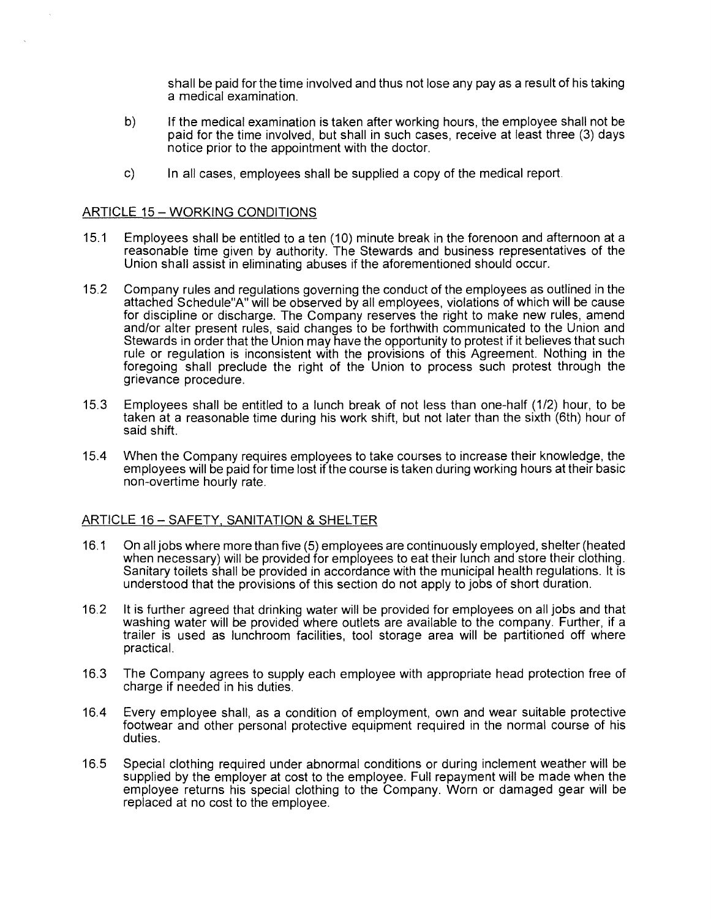shall be paid for the time involved and thus not lose any pay as a result of his taking a medical examination.

- b) If the medical examination is taken after working hours, the employee shall not be paid for the time involved, but shall in such cases, receive at least three (3) days notice prior to the appointment with the doctor.
- c) In all cases, employees shall be supplied a copy of the medical report.

### ARTICLE 15-WORKING CONDITIONS

- 15.1 Employees shall be entitled to a ten (10) minute break in the forenoon and afternoon at a reasonable time given by authority. The Stewards and business representatives of the Union shall assist in eliminating abuses if the aforementioned should occur.
- 15.2 Company rules and regulations governing the conduct of the employees as outlined in the attached Schedule"A" will be observed by all employees, violations of which will be cause for discipline or discharge. The Company reserves the right to make new rules, amend and/or alter present rules, said changes to be forthwith communicated to the Union and Stewards in order that the Union may have the opportunity to protest if it believes that such rule or regulation is inconsistent with the provisions of this Agreement. Nothing in the foregoing shall preclude the right of the Union to process such protest through the grievance procedure.
- 15.3 Employees shall be entitled to a lunch break of not less than one-half (1/2) hour, to be taken at a reasonable time during his work shift, but not later than the sixth (6th) hour of said shift.
- 15.4 When the Company requires employees to take courses to increase their knowledge, the employees will be paid for time lost if the course is taken during working hours at their basic non-overtime hourly rate.

## ARTICLE 16-SAFETY, SANITATION & SHELTER

- 16.1 On all jobs where more than five (5) employees are continuously employed, shelter (heated when necessary) will be provided for employees to eat their lunch and store their clothing. Sanitary toilets shall be provided in accordance with the municipal health regulations. It is understood that the provisions of this section do not apply to jobs of short duration.
- 16.2 It is further agreed that drinking water will be provided for employees on all jobs and that washing water will be provided where outlets are available to the company. Further, if a trailer is used as lunchroom facilities, tool storage area will be partitioned off where practical.
- 16.3 The Company agrees to supply each employee with appropriate head protection free of charge if needed in his duties.
- 16.4 Every employee shall, as a condition of employment, own and wear suitable protective footwear and other personal protective equipment required in the normal course of his duties.
- 16.5 Special clothing required under abnormal conditions or during inclement weather will be supplied by the employer at cost to the employee. Full repayment will be made when the employee returns his special clothing to the Company. Worn or damaged gear will be replaced at no cost to the employee.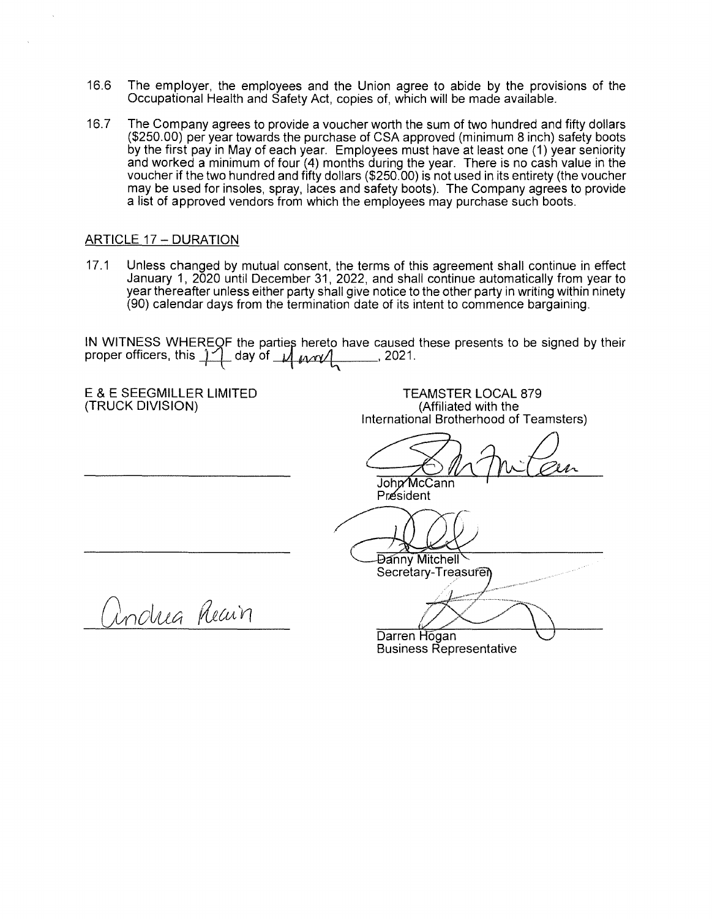- 16.6 The employer, the employees and the Union agree to abide by the provisions of the Occupational Health and Safety Act, copies of, which will be made available.
- 16.7 The Company agrees to provide a voucher worth the sum of two hundred and fifty dollars (\$250.00) per year towards the purchase of CSA approved (minimum 8 inch) safety boots by the first pay in May of each year. Employees must have at least one (1) year seniority and worked a minimum of four (4) months during the year. There is no cash value in the voucher if the two hundred and fifty dollars (\$250.00) is not used in its entirety (the voucher may be used for insoles, spray, laces and safety boots). The Company agrees to provide a list of approved vendors from which the employees may purchase such boots.

# ARTICLE 17- DURATION

17.1 Unless changed by mutual consent, the terms of this agreement shall continue in effect January 1, 2020 until December 31, 2022, and shall continue automatically from year to year thereafter unless either party shall give notice to the other party in writing within ninety (90) calendar days from the termination date of its intent to commence bargaining.

IN WITNESS WHEREOF the parties hereto have caused these presents to be signed by their proper officers, this  $\frac{1}{2}$  day of  $\frac{1}{2}$  *work* , 2021.

E & E SEEGMILLER LIMITED (TRUCK DIVISION)

TEAMSTER LOCAL 879 (Affiliated with the International Brotherhood of Teamsters)

John McCann Président

DOD<br>Danny Mitchell<br>Secretary-Treasure

Secretary-Treasuren

(indua Reain

Darren Hogan Business Representative Mitchell<br>
Mitchell<br>
Hogan<br>
Sis Representative  $\bigcup$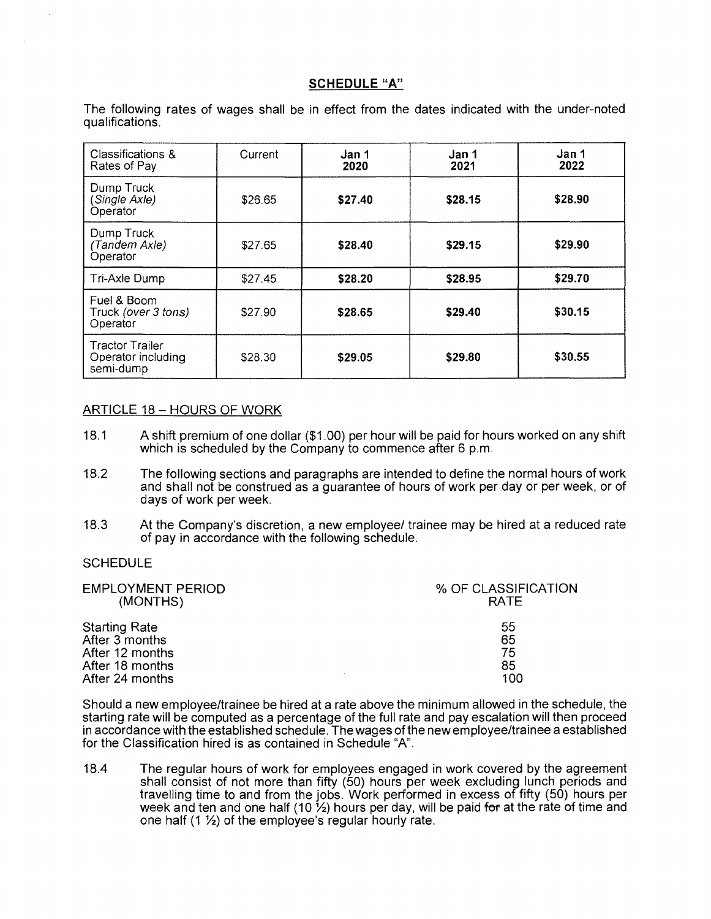### **SCHEDULE "A"**

The following rates of wages shall be in effect from the dates indicated with the under-noted qualifications.

| Classifications &<br>Rates of Pay                         | Current | Jan 1<br>2020 | Jan 1<br>2021 | Jan 1<br>2022 |
|-----------------------------------------------------------|---------|---------------|---------------|---------------|
| Dump Truck<br>(Single Axle)<br>Operator                   | \$26.65 | \$27.40       | \$28.15       | \$28.90       |
| Dump Truck<br>(Tandem Axle)<br>Operator                   | \$27.65 | \$28.40       | \$29.15       | \$29.90       |
| Tri-Axle Dump                                             | \$27.45 | \$28.20       | \$28.95       | \$29.70       |
| Fuel & Boom<br>Truck (over 3 tons)<br>Operator            | \$27.90 | \$28.65       | \$29.40       | \$30.15       |
| <b>Tractor Trailer</b><br>Operator including<br>semi-dump | \$28.30 | \$29.05       | \$29.80       | \$30.55       |

### ARTICLE 18 - HOURS OF WORK

- 18.1 A shift premium of one dollar (\$1.00) per hour will be paid for hours worked on any shift which is scheduled by the Company to commence after 6 p.m.
- 18.2 The following sections and paragraphs are intended to define the normal hours of work and shall not be construed as a guarantee of hours of work per day or per week, or of days of work per week.
- 18.3 At the Company's discretion, a new employee/ trainee may be hired at a reduced rate of pay in accordance with the following schedule.

#### **SCHEDULE**

| <b>EMPLOYMENT PERIOD</b><br>(MONTHS) | % OF CLASSIFICATION<br><b>RATE</b> |
|--------------------------------------|------------------------------------|
| <b>Starting Rate</b>                 | 55                                 |
| After 3 months                       | 65                                 |
| After 12 months                      | 75                                 |
| After 18 months                      | 85                                 |
| After 24 months                      | 100                                |

Should a new employee/trainee be hired at a rate above the minimum allowed in the schedule, the starting rate will be computed as a percentage of the full rate and pay escalation will then proceed in accordance with the established schedule. The wages of the new employee/trainee a established for the Classification hired is as contained in Schedule "A".

18.4 The regular hours of work for employees engaged in work covered by the agreement shall consist of not more than fifty (50) hours per week excluding lunch periods and travelling time to and from the jobs. Work performed in excess of fifty (50) hours per week and ten and one half (10  $\frac{1}{2}$ ) hours per day, will be paid for at the rate of time and one half (1 ½) of the employee's regular hourly rate.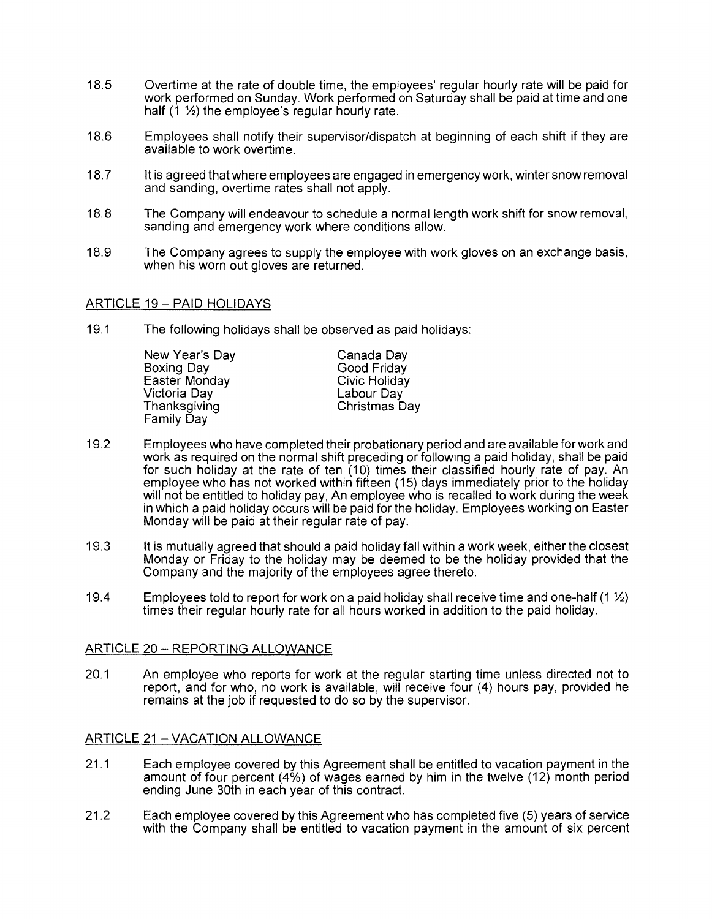- 18.5 Overtime at the rate of double time, the employees' regular hourly rate will be paid for work performed on Sunday. Work performed on Saturday shall be paid at time and one half (1 ½) the employee's regular hourly rate.
- 18.6 Employees shall notify their supervisor/dispatch at beginning of each shift if they are available to work overtime.
- 18.7 It is agreed that where employees are engaged in emergency work, winter snow removal and sanding, overtime rates shall not apply.
- 18. 8 The Company will endeavour to schedule a normal length work shift for snow removal, sanding and emergency work where conditions allow.
- 18.9 The Company agrees to supply the employee with work gloves on an exchange basis, when his worn out gloves are returned.

## ARTICLE 19- PAID HOLIDAYS

19.1 The following holidays shall be observed as paid holidays:

New Year's Day Boxing Day Easter Monday Victoria Day **Thanksgiving** Family Day

Canada Day Good Friday Civic Holiday Labour Day Christmas Day

- 19.2 Employees who have completed their probationary period and are available for work and work as required on the normal shift preceding or following a paid holiday, shall be paid for such holiday at the rate of ten (10) times their classified hourly rate of pay. An employee who has not worked within fifteen (15) days immediately prior to the holiday will not be entitled to holiday pay, An employee who is recalled to work during the week in which a paid holiday occurs will be paid for the holiday. Employees working on Easter Monday will be paid at their regular rate of pay.
- 19.3 It is mutually agreed that should a paid holiday fall within a work week, either the closest Monday or Friday to the holiday may be deemed to be the holiday provided that the Company and the majority of the employees agree thereto.
- 19.4 Employees told to report for work on a paid holiday shall receive time and one-half (1 ½) times their regular hourly rate for all hours worked in addition to the paid holiday.

## ARTICLE 20 - REPORTING ALLOWANCE

20.1 An employee who reports for work at the regular starting time unless directed not to report, and for who, no work is available, will receive four (4) hours pay, provided he remains at the job if requested to do so by the supervisor.

## ARTICLE 21 - VACATION ALLOWANCE

- 21.1 Each employee covered by this Agreement shall be entitled to vacation payment in the amount of four percent (4%) of wages earned by him in the twelve (12) month period ending June 3oth in each year of this contract.
- 21.2 Each employee covered by this Agreement who has completed five (5) years of service with the Company shall be entitled to vacation payment in the amount of six percent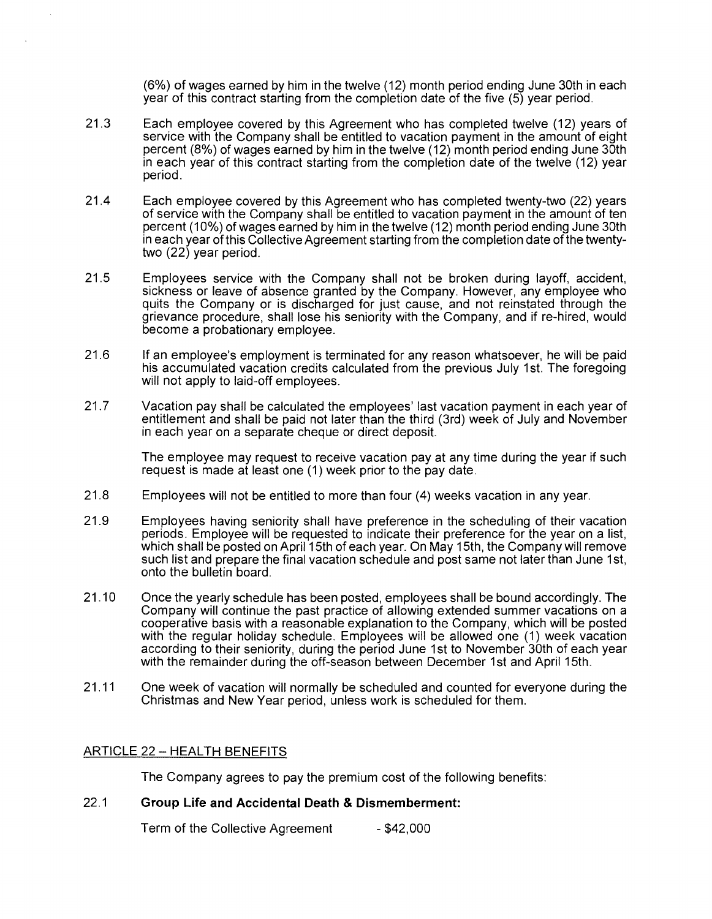(6%) of wages earned by him in the twelve (12) month period ending June 30th in each year of this contract starting from the completion date of the five (5) year period.

- 21.3 Each employee covered by this Agreement who has completed twelve (12) years of service with the Company shall be entitled to vacation payment in the amount of eight percent (8%) of wages earned by him in the twelve ( 12) month period ending June 30th in each year of this contract starting from the completion date of the twelve (12) year period.
- 21.4 Each employee covered by this Agreement who has completed twenty-two (22) years of service with the Company shall be entitled to vacation payment in the amount of ten percent (10%) of wages earned by him in the twelve (12) month period ending June 30th in each year of this Collective Agreement starting from the completion date of the twentytwo (22) year period.
- 21.5 Employees service with the Company shall not be broken during layoff, accident, sickness or leave of absence granted by the Company. However, any employee who quits the Company or is discharged for just cause, and not reinstated through the grievance procedure, shall lose his seniority with the Company, and if re-hired, would become a probationary employee.
- 21.6 If an employee's employment is terminated for any reason whatsoever, he will be paid his accumulated vacation credits calculated from the previous July 1st. The foregoing will not apply to laid-off employees.
- 21.7 Vacation pay shall be calculated the employees' last vacation payment in each year of entitlement and shall be paid not later than the third (3rd) week of July and November in each year on a separate cheque or direct deposit.

The employee may request to receive vacation pay at any time during the year if such request is made at least one (1) week prior to the pay date.

- 21.8 Employees will not be entitled to more than four (4) weeks vacation in any year.
- 21.9 Employees having seniority shall have preference in the scheduling of their vacation periods. Employee will be requested to indicate their preference for the year on a list, which shall be posted on April 15th of each year. On May 15th, the Company will remove such list and prepare the final vacation schedule and post same not later than June 1st, onto the bulletin board.
- 21.10 Once the yearly schedule has been posted, employees shall be bound accordingly. The Company will continue the past practice of allowing extended summer vacations on a cooperative basis with a reasonable explanation to the Company, which will be posted with the regular holiday schedule. Employees will be allowed one (1) week vacation according to their seniority, during the period June 1st to November 30th of each year with the remainder during the off-season between December 1st and April 15th.
- 21.11 One week of vacation will normally be scheduled and counted for everyone during the Christmas and New Year period, unless work is scheduled for them.

## ARTICLE 22 - HEALTH BENEFITS

The Company agrees to pay the premium cost of the following benefits:

## 22.1 **Group Life and Accidental Death & Dismemberment:**

Term of the Collective Agreement - \$42,000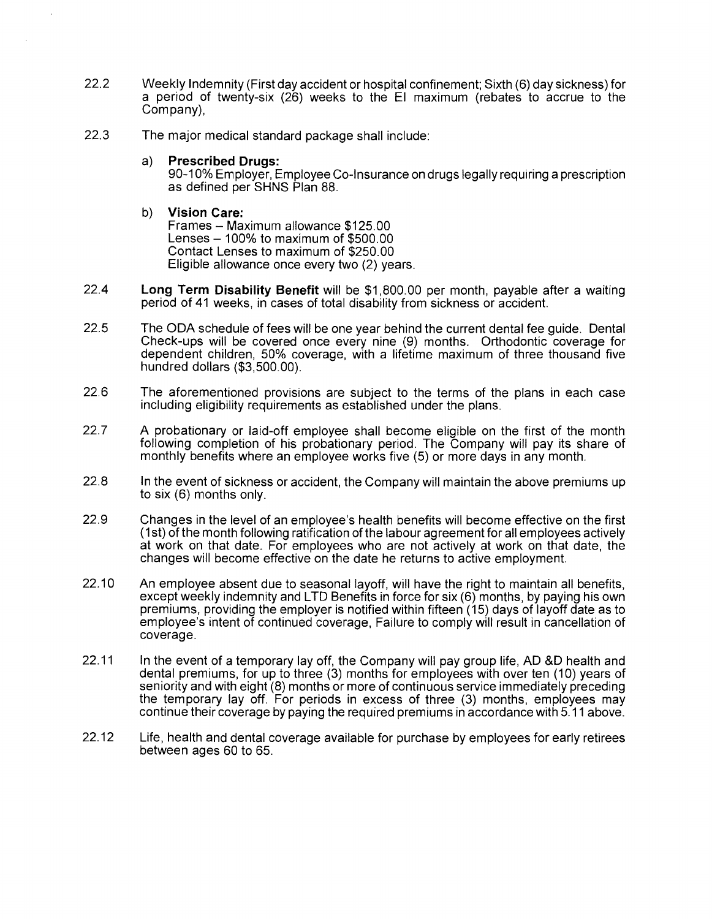- 22.2 Weekly Indemnity (First day accident or hospital confinement; Sixth (6) day sickness) for a period of twenty-six (26) weeks to the El maximum (rebates to accrue to the Company),
- 22.3 The major medical standard package shall include:
	- a) **Prescribed Drugs:**

90-10% Employer, Employee Co-Insurance on drugs legally requiring a prescription as defined per SHNS Plan 88.

b) **Vision Care:** 

Frames - Maximum allowance \$125.00 Lenses  $-100\%$  to maximum of \$500.00 Contact Lenses to maximum of \$250.00 Eligible allowance once every two (2) years.

- 22.4 **Long Term Disability Benefit** will be \$1,800.00 per month, payable after a waiting period of 41 weeks, in cases of total disability from sickness or accident.
- 22.5 The ODA schedule of fees will be one year behind the current dental fee guide. Dental Check-ups will be covered once every nine (9) months. Orthodontic coverage for dependent children, 50% coverage, with a lifetime maximum of three thousand five hundred dollars (\$3,500.00).
- 22.6 The aforementioned provisions are subject to the terms of the plans in each case including eligibility requirements as established under the plans.
- 22.7 A probationary or laid-off employee shall become eligible on the first of the month following completion of his probationary period. The Company will pay its share of monthly benefits where an employee works five (5) or more days in any month.
- 22.8 In the event of sickness or accident, the Company will maintain the above premiums up to six (6) months only.
- 22.9 Changes in the level of an employee's health benefits will become effective on the first (1st) of the month following ratification of the labour agreement for all employees actively at work on that date. For employees who are not actively at work on that date, the changes will become effective on the date he returns to active employment.
- 22.10 An employee absent due to seasonal layoff, will have the right to maintain all benefits, except weekly indemnity and LTD Benefits in force for six (6) months, by paying his own premiums, providing the employer is notified within fifteen (15) days of layoff date as to employee's intent of continued coverage, Failure to comply will result in cancellation of coverage.
- 22.11 In the event of a temporary lay off, the Company will pay group life, AD &D health and dental premiums, for up to three (3) months for employees with over ten (10) years of seniority and with eight (8) months or more of continuous service immediately preceding the temporary lay off. For periods in excess of three (3) months, employees may continue their coverage by paying the required premiums in accordance with 5.11 above.
- 22.12 Life, health and dental coverage available for purchase by employees for early retirees between ages 60 to 65.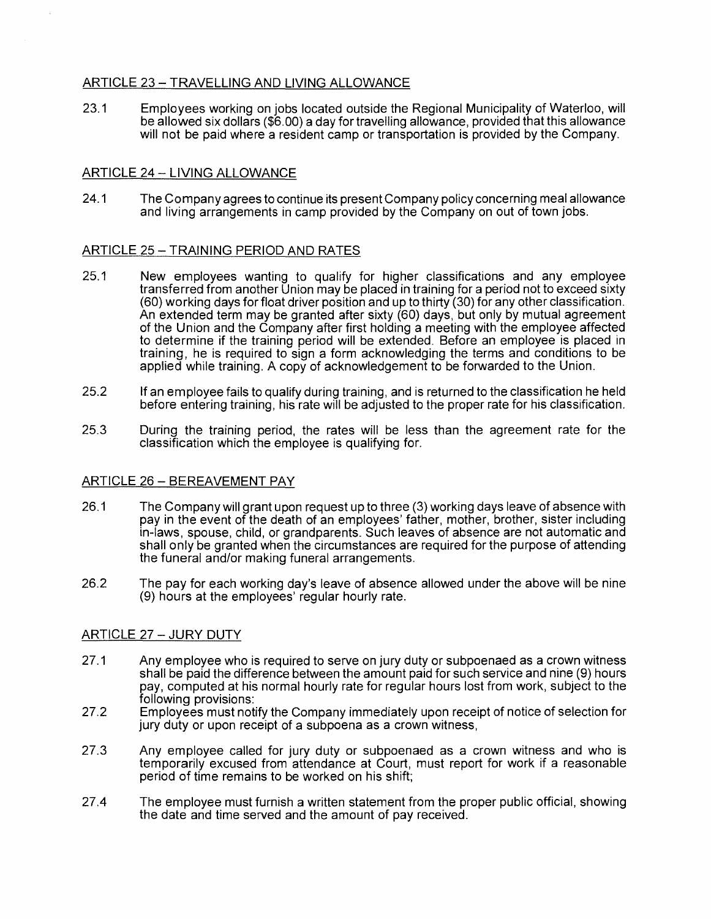# ARTICLE 23 - TRAVELLING AND LIVING ALLOWANCE

23.1 Employees working on jobs located outside the Regional Municipality of Waterloo, will be allowed six dollars (\$6.00) a day for travelling allowance, provided that this allowance will not be paid where a resident camp or transportation is provided by the Company.

# ARTICLE 24- LIVING ALLOWANCE

24.1 The Company agrees to continue its present Company policy concerning meal allowance and living arrangements in camp provided by the Company on out of town jobs.

## ARTICLE 25-TRAINING PERIOD AND RATES

- 25.1 New employees wanting to qualify for higher classifications and any employee transferred from another Union may be placed in training for a period not to exceed sixty (60) working days for float driver position and up to thirty (30) for any other classification. An extended term may be granted after sixty (60) days, but only by mutual agreement of the Union and the Company after first holding a meeting with the employee affected to determine if the training period will be extended. Before an employee is placed in training, he is required to sign a form acknowledging the terms and conditions to be applied while training. A copy of acknowledgement to be forwarded to the Union.
- 25.2 If an employee fails to qualify during training, and is returned to the classification he held before entering training, his rate will be adjusted to the proper rate for his classification.
- 25.3 During the training period, the rates will be less than the agreement rate for the classification which the employee is qualifying for.

## ARTICLE 26- BEREAVEMENT PAY

- 26.1 The Company will grant upon request up to three (3) working days leave of absence with pay in the event of the death of an employees' father, mother, brother, sister including in-laws, spouse, child, or grandparents. Such leaves of absence are not automatic and shall only be granted when the circumstances are required for the purpose of attending the funeral and/or making funeral arrangements.
- 26.2 The pay for each working day's leave of absence allowed under the above will be nine (9) hours at the employees' regular hourly rate.

## ARTICLE 27 - JURY DUTY

- 27.1 Any employee who is required to serve on jury duty or subpoenaed as a crown witness shall be paid the difference between the amount paid for such service and nine (9) hours pay, computed at his normal hourly rate for regular hours lost from work, subject to the following provisions:
- 27.2 Employees must notify the Company immediately upon receipt of notice of selection for jury duty or upon receipt of a subpoena as a crown witness,
- 27.3 Any employee called for jury duty or subpoenaed as a crown witness and who is temporarily excused from attendance at Court, must report for work if a reasonable period of time remains to be worked on his shift;
- 27.4 The employee must furnish a written statement from the proper public official, showing the date and time served and the amount of pay received.